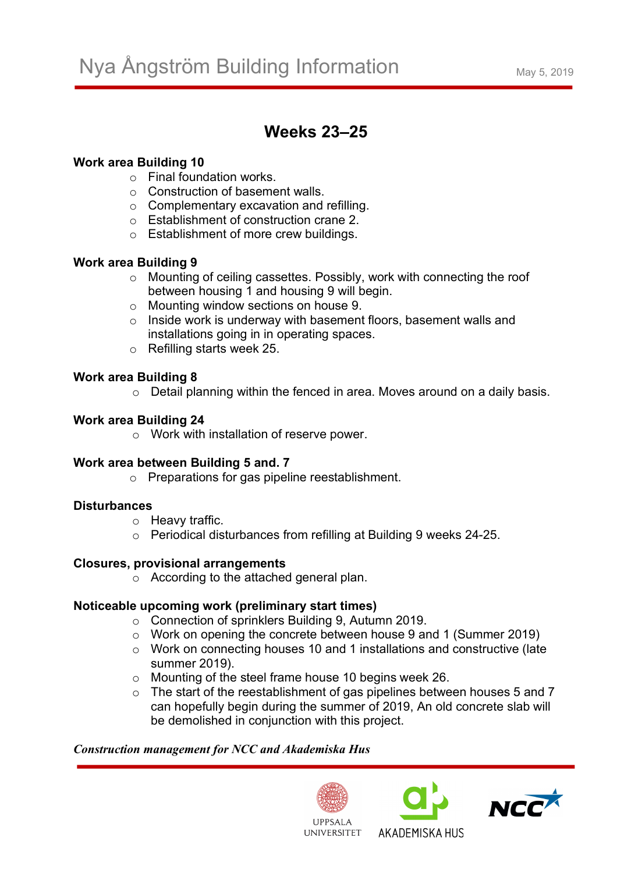# **Weeks 23–25**

### **Work area Building 10**

- o Final foundation works.
- o Construction of basement walls.
- o Complementary excavation and refilling.
- o Establishment of construction crane 2.
- o Establishment of more crew buildings.

## **Work area Building 9**

- o Mounting of ceiling cassettes. Possibly, work with connecting the roof between housing 1 and housing 9 will begin.
- o Mounting window sections on house 9.
- o Inside work is underway with basement floors, basement walls and installations going in in operating spaces.
- o Refilling starts week 25.

## **Work area Building 8**

o Detail planning within the fenced in area. Moves around on a daily basis.

#### **Work area Building 24**

o Work with installation of reserve power.

#### **Work area between Building 5 and. 7**

o Preparations for gas pipeline reestablishment.

#### **Disturbances**

- o Heavy traffic.
- o Periodical disturbances from refilling at Building 9 weeks 24-25.

#### **Closures, provisional arrangements**

o According to the attached general plan.

#### **Noticeable upcoming work (preliminary start times)**

- o Connection of sprinklers Building 9, Autumn 2019.
- o Work on opening the concrete between house 9 and 1 (Summer 2019)
- o Work on connecting houses 10 and 1 installations and constructive (late summer 2019).
- o Mounting of the steel frame house 10 begins week 26.
- $\circ$  The start of the reestablishment of gas pipelines between houses 5 and 7 can hopefully begin during the summer of 2019, An old concrete slab will be demolished in conjunction with this project.

#### *Construction management for NCC and Akademiska Hus*





AKADEMISKA HUS